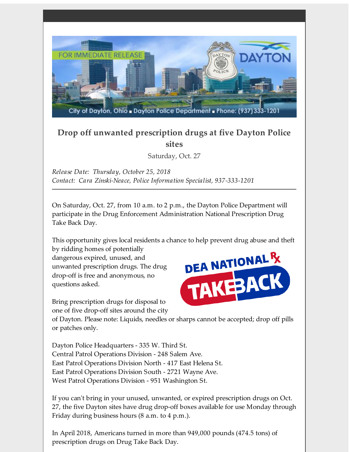

## **Drop off unwanted prescription drugs at five Dayton Police sites**

Saturday, Oct. 27

*Release Date: Thursday, October 25, 2018 Contact: Cara Zinski-Neace, Police Information Specialist, 937-333-1201*

On Saturday, Oct. 27, from 10 a.m. to 2 p.m., the Dayton Police Department will participate in the Drug Enforcement Administration National Prescription Drug Take Back Day.

This opportunity gives local residents a chance to help prevent drug abuse and theft

by ridding homes of potentially dangerous expired, unused, and unwanted prescription drugs. The drug drop-off is free and anonymous, no questions asked.

Bring prescription drugs for disposal to one of five drop-off sites around the city



of Dayton. Please note: Liquids, needles or sharps cannot be accepted; drop off pills or patches only.

Dayton Police Headquarters - 335 W. Third St. Central Patrol Operations Division - 248 Salem Ave. East Patrol Operations Division North - 417 East Helena St. East Patrol Operations Division South - 2721 Wayne Ave. West Patrol Operations Division - 951 Washington St.

If you can't bring in your unused, unwanted, or expired prescription drugs on Oct. 27, the five Dayton sites have drug drop-off boxes available for use Monday through Friday during business hours (8 a.m. to 4 p.m.).

In April 2018, Americans turned in more than 949,000 pounds (474.5 tons) of prescription drugs on Drug Take Back Day.